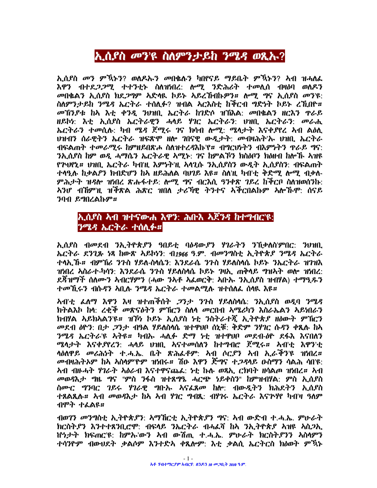# ኢሲያስ መን'ዩ ስለምንታይከ ንሜዳ ወጺኡ?

ኢሲያስ መን ምኽኑን? ወለዶኡን መበቈሉን ካበየናይ ማይቤት ምኽኑን? አብ ዝሓለፌ እዋን ብተደ*ጋጋሚ* ተተንቲኑ ስለዝነበረ: ሎሚ ንድሕሪት ተመሲሰ ብዛዕባ ወለዶን መበቈልን ኢሰያስ ክደጋግም አድላዪ ከይኑ አይረኸብኩዎን። ሎሚ ግና ኢሰያስ መን'ዩ: ስለምንታይከ ንሜዳ ኤርትራ ተሰሊፉ? ዝብል አርእስቲ ከቅርብ ግድነት ኮይኑ ረኺበዮ። መኽንያቱ ከአ እቲ ቀንዲ ንህዝቢ ኤርትራ ከገድሶ ዝኽእል: መበቈልን ዘርእን ዋራይ ዘይኮነ: እቲ ኢሲያስ ኤርትራዊን ሓላይ ሃገር ኤርትራን: ሀዝቢ ኤርትራን: መራሒ ኤርትራን ተመሲሉ: ካብ ሜዳ ጀሚሩ ገና ክሳብ ሎሚ: ሜሳታት እናቀያየረ አብ ልዕሊ ህዝብን ሰራዊትን ኤርትራ ዝፍጽሞ ዘሎ ገበናዊ ውዲታት: መብዛሕት'ሉ ህዝቢ ኤርትራ ብፍልጠት ተመራሚሩ ከምዘይበጽሖ ስለዝተረዳእኩ'የ። ብግርህነትን ብእምነትን ዋራይ ግና: ንኢሲያስ ከም ወዲ ሓማሴን ኤርትራዊ ኣሚኑ: ገና ከምልኾን ክስልቦን ክልዘብ ከሎኹ ኣዝዩ የጕሇኒ፨ ህዝቢ ኤርትራ ካብዝ እምነትዝ አሳጊሱ ንኢሲደስን ውዲት ኢሲደስን: ብፍልጠት ተሳዒሉ ከቃልዖን ክብድሆን ከአ ዘይሕለል ባህገይ እዩ። ስለነዚ ካብ'ቲ ቅድሚ ሎሚ ብቃለ-ምሕታት ዝዳሎ ዝነበረ ጽሑፋተይ: ሎሚ ግና ብርእሲ ዓንቀጽ ገይረ ከችርቦ ስለዝወሰንኩ: *ኣን*ሆ ብኸምነዚ ዝችጽል ሕጽር ነበለ ታሪኻዊ ትንተና አችርበልኩም ኣሎኹሞ: ሰናይ ንባብ ይግበረልኩም።

## ኢሲያስ አብ ዝተናውሐ እዋን: ሕቡእ አጀንዳ ከተግብር'ዩ: ንሜዳ ኤርትራ ተሰሊፉ።

ኢሲያስ ብመደብ ንኢትዮጵያን ዓበይቲ ባዕዳውያን ሃገራትን ንኸቃለስ'ምበር: ንህዝቢ ኤርትራ ደንጊጹ ነጻ ከውጽ አይኮነን: ብ1966 ዓ.ም. ብመንግስቲ ኢትዮጵያ ንሜዳ ኤርትራ ተላኢ ኹ። ብምኽሪ ንጉስ ሃይለ-ስላሴን: እንደራሴ ንጉስ ሃይለስላሴ ኮይኑ ንኤርትራ ዝገዝእ ዝነበረ አስራተ-ካሳን: እንደራሴ ንጉስ ሃይለስላሴ ኮይኑ ገዛኢ ጠቅላይ ግዝኣት ወሎ ዝነበረ: ደጃዝማች ሰለሙን አብርሃምን (ሓው ንአቶ አፌወርቅ: አቡኡ ንኢሰያስ ዝብሃል) ተማዒዱን *ተመኺሩን ብ*ሱ*ዳን አ*ቢሉ *ንሜዳ ኤርትራ ተመ*ልሚሉ ዝተሰለፌ ሰሳዪ እዩ*፡*፡

<u>አብ'ቲ ፌለማ እዋን እዛ ዝተጠቅሰት *ጋ*ንታ ንጉስ ሃይለስላሴ: ንኢሰ</u>ያስ ወዲባ ንሜዳ ክትልእኮ ከሳ: ረቂች መጽናዕትን ምኽርን ስለሳ መርበብ አሜሪካን እስራኤልን አይነበራን ክብሃል አይክአልን'ዩ። ዝኾነ ኮይኑ ኢሲያስ ነቲ ንስትራተጇ ኢትዮጵያ ዘዕውት ምኽርን መደብ ዕዮን: በታ ,2ንታ ብዓል ሃይለስሳሴ ዝተዋህቦ ሰኒቹ: ቅድም ንሃገር ሱዳን ቀጺሉ ከአ ንሜዳ ኤርትራ'ዩ አትዩ። ካብኡ ሓሊፉ ድማ ነቲ ዝተዋሀቦ መደብ-ዕዮ ደፋእ እናበለን ሜሳታት እናቀያየረን: ሓላይ ሀዝቢ አናተመሰለን ከተግብሮ ጀሚሩ። አብ'ቲ እዋን'ቲ ሳዕለዋይ መሪሕነት ተ.ሓ.ኤ. ቤት ጽሕፌቶም: ኣብ ሶር.ዖን ኣብ ኢራችን'ዩ ዝነበረ። *መ*ብዛሕትኦም ከአ አስላምየም ዝነበሩ*። ሽ*ዑ እዋን ጅግና ተ*ጋዳ*ላይ ዑስማን ሳልሕ ሳበ'ዩ: ትብ ብዙሓት ሃገራት አዕራብ እናተዋናጨፌ: ነቲ ኩሉ ወጻኢ ርክባት ዘሳልጦ ዝነበረ። አብ *መወዳ*እታ *ግ*ዜ ግና "ምስ ንፋስ ዝተጸግዔ ሓርጭ ነይቀስን" ከምዝብሃል: ምስ ኢሲያስ ስሙር ግንባር ገይሩ ሃገራዊ ግቡሉ አናፌጸመ ከሎ: ብውዲትን ክሕደትን ኢሲያስ ተጸልጺሉ። አብ መወዳእታ ከአ አብ ሃገር ግብጺ: ብሃገሩ ኤርትራ እናጕሃየ ካብነዛ ዓለም ብሞት ተፈልዩ።

ብወገን መንግስቲ ኢትዮጵያን: ኣማኸርቲ ኢትዮጵያን ግና: ኣብ ውድብ ተ.ሓ.ኤ. ምሁራት ክርስትዖን እንተተጸንቢሮሞ: ብፍላይ ንኤርትራ ብሓፌሻ ከአ ንኢትዮጵያ አዝዩ አስጋኢ ከጎታት ክፍጠር'ዩ: ከምኡ'ውን አብ ውሽጢ ተ.ሓ.ኤ. ምሁራት ክርስትያንን አስላምን ተሳንዮም ብውህደት ቃልሶም እንተድኣ ቀጺሎም: እቲ ቃልሲ ኤርትርስ ክዕወት ምኽኑ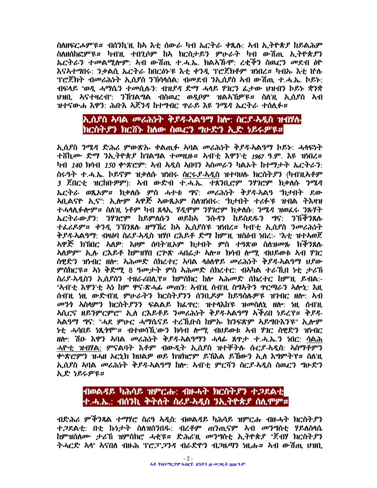ስለዘፍርሖምዩ። ብሰንኪነዚ ከአ እቲ ሰውራ ካብ ኤርትራ ቀጹሉ: አብ ኢትዮጵያ ከይልሕም ስለዘሰከፎምዩ። ካብነዚ ተበጊሶም ከአ ክርስታይን ምሁራት ካብ ውሽጢ ኢትዮጵያን ኤርትራን ተመልሚሎም: አብ ውሽጢ ተ.ሓ.ኤ. ክልአኹሞ: ረቂችን ስዉርን መደብ ዕዮ እናኣተግበሩ: ንቃልሲ ኤርትራ ከበርዕኑ'ዩ እቲ ቀንዲ ፕሮጀክቶም ዝነበረ። ካብኡ እቲ ከሉ ፕሮጀክት ብመሪሕነት ኢሲያስ ንኽሳላሰል: ብመደብ ንኢሲያስ አብ ውሽጢ ተ.ሓ.ኤ. ኮይኑ: ብፍላይ "ወዲ ሓማሴን ተመሲሉን: ብዝያዳ ድማ ሓላይ ሃገርን ፌታው ሀዝብን ኮይኑ ቋንቋ ህዝቢ አናተዛረብ": ንኸገልግል ብስዉር ወዲቦም ዝልአኸዎ'ዩ። ስለ'ዚ ኢሴያስ አብ ዝተናውሐ እዋን: ሕቡእ አጀንዳ ከተግብር ዋራይ እዩ ንሜዳ ኤርትራ ተሰሊፉ።

## ኢሲያስ አባል መሪሕነት ቅያዳ-አልዓማ ከሎ: ስርያ-አዲስ ዝብሃሉ ክርስትያን ክርሽኑ ከለው ስዉርን ግሁድን ኢድ ነይሩዎዩ።

ኢሲያስ ንሜዳ ድሕሪ ምውጽኡ ቀልጢፉ አባል መሪሕነት ቅያዳ-አልዓማ ከይኑ: ሓላፍነት ተሸኪሙ ድማ ንኢትዮጵያ ከገልግል ተመዚዙ። አብ'ቲ እዋን'ቲ 1967 ዓ.ም. እዩ ዝነበረ። ካብ 140 ክሳብ 150 ቀንጽሮም: አብ አዲስ አበባን አስመራን ካልኦት ከተማታት ኤርትራን: ስሩዓት ተ.ሓ.ኤ. ኮይኖም ዝቃለሱ ዝነበሩ ስርሩያ-አዲስ ዝተባሀሉ ክርስትያን (ካብነዚኣቶም 3 ጀበርቲ ዝርከቡዎም): አብ ውድብ ተ.ሓ.ኤ. ተጸንቢሮም ንሃገሮም ክቃለሱ ንሜዳ ኤርትራ ወጺኦም። ክቃለሱ ምስ ሓተቱ ግና: መሪሕነት ቅያዳ-አልዓ "ክታበት ደው <u>አቢልናዮ ኢና": ኢሎም አዋጅ አውጼአም ስለዝነበሩ: "ክታበት ተሪፉ'ዩ ዝብል ትእዛዝ</u> ተሓሳሲፉሎም። ስለነዚ ነቶም ካብ ጸሳኢ ሃዲሞም ንሃገሮም ከቃለሱ: ንሜዳ ዝወፌሩ ንጽሃት ኤርትራውያን: ንሃገሮም ከይምለሱን ወይከኣ ንሱዳን ከይስደዱን ግና: ንኸችንጸሉ ተፌሪዶም። ቀንዲ ንኽንጸሉ ዘማኸረ ከአ ኢሲያስዩ ዝነበረ። ካብ'ቲ ኢሲያስ ንመሪሕነት ቅያዳ-አልዓማ: ብዛዕባ ስሪያ-አዲስ ዝሃቦ ርእይቶ ድማ ከምነዚ ዝስዕብ ነበረ:- "እቲ ዝተኣወጀ ኣዋጅ ክኽበር ኣለዎ: እዞም ሰባት'ዚኦም ክታበት ምስ ተዓጽወ ስለዝመጹ ክችንጸሉ **አለዎም" ኢሉ ርእይቶ ከምዝሃበ ርጕጽ ሓበሬታ አሎ። ክሳብ ሎሚ ብህይወቱ አብ ሃገር** ስዊድን ዝነብር ዘሎ: አሕመድ ሰክረተር አባል ሳዕለዋይ መሪሕነት ቅ*ያዳ-*አልዓማ ህያው ምስክርዩ። እነ ቅድሚ 8 ዓመታት ምስ አሕመድ ስክረተር: ብአካል ተራኺበ ነቲ ታሪኸ ስራደ-ኣዲስን ኢሲደስን ተዘራሪበሊየ። ክምስክር ከሎ ኣሕመድ ስክረተር ከምነL ይብል:-"ኣብ'ቲ እዋን'ቲ ኣነ ከም ዋና-ጽሓፊ መጠን: ኣብ'ዚ ስብ'ዚ ስግኣትን ዋርጣራን ኣሎኒ: እዚ ሰብነዚ ነዚ ውድብነዚ ምሁራትን ክርስትያንን ሰንቢዶም ከይዓስሉዎ'ዩ ዝንብር ዘሎ: አብ *መንጎ አ*ስሳምን ክርስት,ዖንን ፍልልይ ክፌዋር: ዝተሳእከ'ዩ ዝመስለኒ ዘሎ: ነዚ ሰብ'ዚ <u>አሲርና ዘይንምርምሮ" ኢለ ርእይቶይ ንመሪሕነት ቅያዳ-አልዓማ አችሪበ ነይረ'የ። ቅያዳ-</u> <u>አልዓማ ግና: "ሓደ ምሁር ሓማሴናይ ተረኺቡስ ከምኡ ክንፍጽም አይማቡእን'ዩ" ኢሎም</u> *ኑ*ቲ ሓሳበይ ነጺንሞ"# ብተወሳሽ.'ውን ክሳብ ሎሚ ብህይወቱ አብ ሃገር ስዊድን ዝነብር ዘሎ: ሽዑ እዋን አባል መሪሕነት ቅያዳ-አልዓማን ሓላፊ ጸዋታ ተ.ሓ.ኤ.ን ነበር: ሳልሕ ሓዮቲ ዝብሃል: ምናልባት እቶም ብውዲት ኢሰያስ ዝተኞትሉ ሱርያ-አዲስ: አስማቶምን ቍጽሮምን ዝሓዘ አርኒክ ክህልዎ ወይ ክዝክሮም ይኽእል ይኸውን ኢለ እግምት'የ። ስለ'ዚ ኢሲያስ አባል *መሪሕነት ቅያዳ-*አልዓማ ከሎ: አብ'ቲ ምርሻን ስር*ያ-*አዲስ ስዉርን ግሁድን ኢድ ነይሩዎዩ።

#### *ብወ*ል*ዳ*ይ ካሕሳይ ዝምርሑ: ብዙሓት ክርስት*ያን* ተ*ጋ*ደልቲ ተ.ሓ.ኤ.: ብሰንኪ ቅትለት ስሪያ-አዲስ ንኢትዮጵያ ሰሊምም።

ብድሕሪ ምችንጻል ተማሃሮ ስሪዓ አዲስ: ብወልዳይ ካሕሳይ ዝምርሑ ብዙሓት ክርስት.የን ተ*ጋ*ደልቲ: በቲ ኩነታት ስለዝሰንበዱ: ብረቶም ጠንጢናም አብ መንግስቲ ሃይለስላሴ ከምዝሰለሙ ታሪኽ ዝምስክሮ ሓቂዩ። ድሕሪዢ መንግስቲ ኢትዮጵያ "ጀብሃ ክርስትያን ትሓርድ ኣላ" ኣናበለ ብዙሕ ፕሮፓ*ጋንዳ* ብራድዮን ብ*ጋ*ዜማን ነዚሑ። ኣብ ውሽጢ ሀዝቢ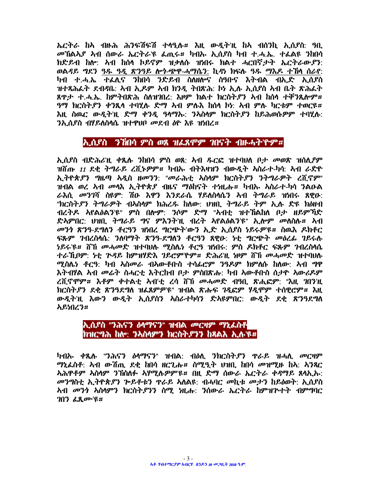ኤርትራ ከአ ብዙሕ ሕንፍሽፍሽ ተሳዒሉ። እዚ ውዲትዝ ከአ ብሰንኪ ኢሲያስ: ዓቢ *መኸ*ልአ*ያ አብ ሰውራ ኤርትራ*'ዩ ፌጢሩ*። ካብ*ኡ ኢሰያስ ካብ ተ.ሓ.ኤ. ተፌልዩ *ን*ከበሳ ክድይብ ከሎ: አብ ከሰላ ኮይኖም ዝቃለሱ ዝነበሩ ክልተ ሓርበኛታት ኤርትራውያን: ወልዳይ ግደን ዓዱ ዓዲ ጽንዓይ ሎኅ-ጭዋ-ሓማሴን: ኪዳነ ክፍሉ ዓዱ ማእዶ ተኸሳ ሰራየ: ካብ ተ.ሓ.ኤ ተፌሊና ንከበሳ ንድይብ ስለዘሎና ስዓቡና እትብል ብኢድ ኢሲያስ ዝተጻሕሬት ደብዳቤ: ኣብ ኢዶም ኣብ ክንዲ ትበጽሕ: ኮነ ኢሉ ኢሲያስ ኣብ ቤት ጽሕፌት ጸዋታ ተ.ሓ.ኤ. ከምትበጽሕ ስለዝገበረ: እዞም ክልተ ክርስትያን አብ ከሰላ ተቐንጺሎም። ዓማ ክርስትያን ቀንጺላ ተባሂሉ ድማ አብ ምሉእ ከሰላ ኮነ አብ ምሉ ካርቱም ተወርዩ። እዚ ስዉር ውዲት'ዚ ድማ ቀንዲ ዓላማኡ: ንኣስላም ክርስትያን ከይሕወሱዎም ተባሂሉ: <u>ንኢሰደስ ብሃይለስላሴ ዝተዋህቦ መደብ ለዮ እዩ ዝነበረ።</u>

#### ኢሲያስ ንኸበሳ ምስ ወጸ ዝፌጸሞም ገበናት ብዙሓትነዮም።

ኢሲያስ ብድሕሪነዚ ቀጺሉ ንከበሳ ምስ ወጸ: አብ ዱርፎ ዝተባሀለ ቦታ መወጽ ዝሰሊዖም ዝሽጡ *11* ደቂ ትግራይ ረሺኑዎም**።** ካብኡ ብትእዛዝን ብውዲት አስራተ-ካሳ: አብ ራድዮ ኢትዮጵያን ግዜጣ አዲስ ዘመንን: "መራሕቲ አስላም ክርስትያን ንትግራዎት ረሺኖም" ዝብል ወረ አብ መሳእ ኢትዮጵያ ብዜና ማዕከናት ተነዚሑ። ካብኡ አስራተ-ካሳ ንልዑል ራእሲ መንገሻ ስዩም: ሽዑ እዋን እንደራሴ ሃይለስሳሴን አብ ትግራይ ዝነበሩ ጸዊዑ: "ክርስት ዖን ትግራዎተ ብላስሳም ክሕረዱ ከለው: ህዝቢ ትግራይ ትም ኢሉ ድዩ ክዕዘብ ብረትዶ አየልዕልን'ዩ" ምስ በሎም: 'ንሶም ድማ "አብቲ ዝተኘልከለ ቦታ ዘይም'ቫድ ድኣምበር: ህዝቢ ትግራይ ግና ምእንትነዚ ብረት ኣየልዕልንነዩ" ኢሎም መለስሉ። ኣብ መንጎ ጽንዓ-ደግለን ቶርዓን ዝነበረ ግርጭት'ውን ኢድ ኢሲያስ ነይሩዎዩ። ስዉእ ዶክቶር ፍጹም ገብረስሳሴ: ንለባማት ጽንዓ-ደግለን ቶርዓን ጸዊዑ: ነቲ ግርጭት መዕረፊ ገይሩሉ *ነ*ይሩ'ዩ*። ሽ*ኽ መሓመድ ዝተባህሉ ሚስሌነ ቶርዓ ዝነበሩ: ምስ ዶክቶር ፍጹም *ገ*ብረስላሴ ተራኺበም: ነቲ ጕዳይ ከምዝሃድእ ገይሮምዮም። ድሕሪኺ ነዞም ሸኸ መሓመድ ዝተባህሉ ሚስሌነ ቶርዓ: ካብ አስመራ ብአውቶበስ ተሳፊሮም ንዓዶም ክምለሱ ከለው: አብ ግዋ እትብሃል ኣብ መሬት ስሓርቲ እትርከብ ቦታ ምስበጽሑ: ካብ አውቶቡስ ሰታዮ አውሪዶም ረሺኖሞም። እቶም ቀተልቲ አብ'ቲ ረሳ ሸኽ መሓመድ ብዓቢ ጽሒፎም: "እዚ ገበን'ዚ ክርስት,የን ደቂ ጽንዓደግለ ዝፌጸምዎ'ዩ" ዝብል ጽሑፍ ገዲፎም ሃዲሞም ተሰዊሮም። እዚ ውዲትዝ እውን ውዲት ኢሲያስን አስራተካሳን ድአዩምበር: ውዲት ደቂ ጽንዓደግለ አይነበረን።

#### ኢሲያስ "ንሕናን ዕሳማናን" ዝብል መርዛም ማኒፌስቶ ክዝርግሕ ከሎ: ንኣስላምን ክርስትያንን ከጻልእ ኢሉ'ዩ።

ካብኡ ቀጺሉ "ንሕናን ዕሳማናን" ዝብል: ብዕለ. ንክርስትያን ዋራይ ዝሓሲ መርዛም ማኒፌስቶ: አብ ውሽጢ ደቂ ከበሳ ዘርጊሑ። ስሚዒት ህዝቢ ከበሳ መዝሚዙ ከኣ: አንጻር *ኢሕዋቶም አስላም ንኘስስሉ አሃሚሉዎምዩ። በዚ ድማ ሰውራ ኤርትራ ቀዳማይ ጸላኢ*ኡ: መንግስቲ ኢትዮጵያን ጕይቶቱን ዋራይ አለልዩ: ብሓባር መኪቱ መታን ከይዕወት: ኢሲያስ <u>አብ መንጎ አስላምን ክርስት,የንን ስሚ ነዚሑ: ንሰውራ ኤርትራ ከምዝጕተት ብምግባር</u> ገበን ፌጺሙ՝ዩ።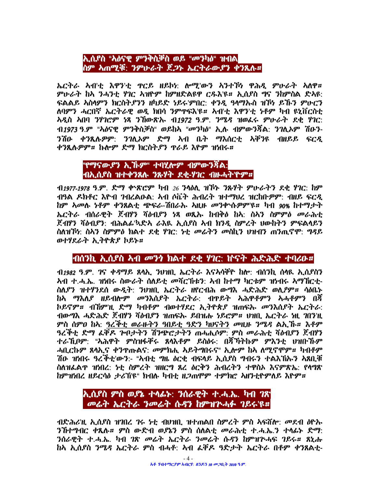#### ኢሲያስ "አዕናዊ ምንቅስቓስ ወይ "መንካዕ" ዝብል ስም አጠሚቒ: ንምሁራት ጀ*ጋ*ኑ ኤርትራውያን ቀንጺሉ።

ኤርትራ ኣብ'ቲ እዋን'ቲ ዋርይ ዘይኮነ: ሎሚ'ውን አንተኾነ ዋሕዲ ምሁራት አለዋ። ምሁራት ከአ ንሓንቲ ሃገር አዝዮም ከምዘድልዩዋ ርዱእ'ዩ። ኢሲያስ ግና ንከምስል ድአዩ: ፍልልይ አስላምን ክርስት.ያንን ዘካይድ ነይሩ'ምበር: ቀንዷ ዓላማኡስ ዝኾነ ይኹን ምሁርን ለባምን ሓርበኛ ኤርትራዊ ወዲ ክበሳ ንምዋፍእ'ዩ። አብ'ቲ እዋን'ቲ ነቶም ካብ ዩኒቨርስቲ አዲስ አበባ ንሃገሮም ነጻ ንኸውጽኡ ብ1972 ዓ.ም. ንሜዳ ዝወራሩ ምሁራት ደቂ ሃገር: ብ*1973* ዓ.ም "አዕናዊ ምንቅስቓስ" ወይከአ "መንካ**ዕ" ኢሉ ብምውን**ቾል: *ንገ*ሲአም ሽዑን-ንሽዑ ቀንጺሉዎም: ንገሊኦም ድማ ኣብ ቤት ማእሰርቲ ኣቐንዩ ብዘይይ ፍርዲ ቀንጺሉዎም። ኩሎም ድማ ክርስትያን ዋራይ እዮም ዝነበሩ።

#### "የማናው.ያን ኢ.ኸ.ም" ተባሂሎም ብምውንጃል: ብኢሲያስ ዝተቀንጸሉ ንጹሃት ደቂ-ሃገር ብዙሓትኘዮም።

 $-$  11977-1978 ዓ.ም. ድማ ቍጽሮም ካብ 26 ንሳዕሊ ዝኾኑ ንጹሃት ምሁራትን ደቂ ሃገር: ከም ብዓል ዶክቶር እዮብ ንብረልዑል: አብ ሶቬት ሕብረት ዝተማህረ ዝርከቡዎም: ብዘይ ፍርዲ ከም አመሉ *ነቶም ቀንጸ*ልቲ ጭፍራ-ሽበራሉ አዚዙ መንቍሉዎምዩ። ካብ 90% ከተማታት ኤርትራ ብሰራዊት ጀብሃን ሻዕብያን ነጻ ወጺኡ ከብቅዕ ከኣ: ስኣን ስምምዕ መራሕቲ ጀብሃን ሻዕብያን: ብሕልፌ'ኣድአ ራእዪ ኢሰያስ አብ ክንዲ ስምረት ሀውከትን ምፍልላይን ስለዝኾነ: ስኣን ስምምዕ ክልተ ደቂ ሃገር: ነቲ መሬትን መስኪን ህዝብን ጠንጢኖሞ: ግዳይ ወተሃደራት ኢትዮጵያ ኮይኑ።

# 

 $\Lambda$ 1982 ዓ.ም. ገና ቀዳማይ ጸላኢ ንህዝቢ ኤርትራ እናኣሳቐዮ ከሎ: ብሰንኪ ሰላዪ ኢሲደስን <u>አብ ተ.ሓ.ኤ. ዝነበሩ ስውራት ስለይቲ መሻርኸቱን: አብ ከተማ ካርቱም ዝነብሩ አማኸርቲ-</u> ስሊያን ዝተሃንደሰ ውዲት: ንህዝቢ ኤርትራ ዘየርብሕ ውግእ ሓድሕድ ወሊዖም። ሳዕቤኑ ከአ ማእለያ ዘይብሎም መንእስያት ኤርትራ: ብዋይት አሕዋቶምን አሓቶምን በሻ ኮይኖም*። ብኸ*ምዢ ድማ ካብቶም ብወተሃደር ኢ*ት*ዮጵ*ያ ዝ*ጠፍሉ *መን*እሰያት ኤርትራ: ብውግእ ሓድሕድ ጀብሃን ሻዕብደን ዝጠፍሉ ይበዝሑ ነይሮም። ሀዝቢ ኤርትራ ነዚ ገበንዚ ምስ ሰምዐ ከኣ: ዓረችቲ ወራዙትን ዓበይቲ ዓድን ካሀናትን መዚዙ ንሜዳ ልኢኸ። እቶም ዓረችቲ ድማ ፊቐዶ ጕቦታትን ሽንጭሮታትን ጠሓሒሶም: ምስ መራሕቲ ሻዕብያን ጀብሃን ተራኺቦም: "አሕዋት ምስዝፋቐሩ ጸሳእቶም ይስዕሩ: በጃኻትኩም ምእንቲ ህዝቡኸም ሓቢ*ር*ኩም ጸሳኢና ቀንዋጡልና: መምክሒ አይትግበሩና" ኢሎም ከአ ለሚኖሞም። ካብቶም ሽዑ ዝነበሩ ዓረኞቲ'ውን:- "ኣብቲ ግዜ ዕርቂ ብፍላይ ኢሲያስ ግብሩን ተልእኽኡን አጸቢቒ ስለዝፌልዋ ዝነበረ: ነቲ ስምረት ዝዘርግ ጸረ ዕርቅን ሕብረትን ተዋስኦ እናምጽኤ: የሳግጽ ከምዝነበረ ዘይርሳዕ ታሪኽዩ" ክብሉ ካብቲ ዘጋጠሞም ተምክሮ ኣዘንቲዮምለይ እዮም።

#### ኢሲያስ ምስ ወያኔ ተሳፊኑ: ንሰራዊት ተ.ሓ.ኤ. ካብ ገጽ መሬት ኤርትራ ንመሬት ሱዳን ከምዝጕሓፉ ገይሩ'ዩ።

ብድሕሪኺ ኢሲያስ ዝገበረ *ገሩ ነቲ ብህዝ*ቢ ዝተጠልበ ስምረት ምስ አፍሸሎ: *መ*ደብ ዕዮኡ ንኸተግብር ቀጺሉ። ምስ ውድብ ወያኔን ምስ ሰለልቲ መራሕቲ ተ.ሓ.ኤ.ን ተሳፊኑ ድማ: *ን*ሰራዊት ተ.ሓ.ኤ. ካብ *ገ*ጽ *መሬት ኤ*ርትራ *ንመሬት ሱዳን ከ*ምዝጕሓፍ *ገ*ይሩ። ጸኒሑ ከኣ ኢሲደስ ንሜዳ ኤርትራ ምስ ብሓቶ: ኣብ ፌቐዶ ዓድታት ኤርትራ በቶም ቀንጸልቲ-

 $-4-$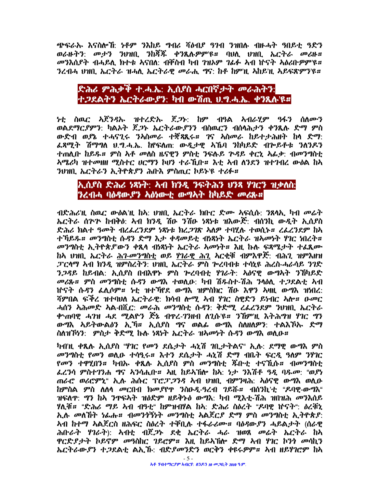ጭፍራኡ እናስሎኸ ነቶም ንእከይ ግብሪ ሻዕብያ ዓገብ ንዝበሉ ብዙሓት ዓበይቲ ዓድን ወራዙትን: መታን ንህዝቢ ንከሻች ቀንጺሉዎምኙ። ባህሊ ህዝቢ ኤርትራ መሪዙ። መንእስያት ብሓይሊ ክተቱ አናበለ: ብቐስብ ካብ ገዝኦም ገፊፉ አብ ኵናት አዕሪቡዎም'ዩ። ንረብሓ ህዝቢ ኤርትራ ዝሓሲ ኤርትራዊ መራሒ ግና: ከቶ ከምነዚ አከይነዚ አይፍጽምን'ዩ።

## ድሕሪ ምሕቃቅ ተ.ሓ.ኤ: ኢሲያስ ሓርበኛታት መራሕትን: ተጋደልትን ኤርትራውያን: ካብ ውሽጢ ህግሓ.ኤ. ቀንጺሉ'ዩ።

<u>ነቲ ስዉር ኢጀንዳኡ ዝተረድኡ ጀጋኑ: ከም ብዓል አብራሂም ዓፋን ስለሙን</u> ወልደማርያምን: ካልአት ጀ*ጋ*ኑ ኤርትራው*ያንን ብ*ስዉርን ብሰላሕታን ቀንጺሉ ድማ ምስ ውድብ ወያኔ ተሓናጊሩ ንአስመራ ተጀጻጺሩ። ገና አስመራ ከይተታሕዘት ከላ ድማ: ፌጻሚት ሽማግለ ህ.ግ.ሓ.ኤ. ከየፍለጠ: ውዲታዊ አኼባ ንከካይድ ብጕይቶቱ ንለንዶን ተጠሲቡ ከይዱ። ምስ አቶ መለስ ዜናዊን ምስቲ ንፍሉይ ጕዳይ ቀርኒ አፊቃ: ብመንግስቲ *ትሜሪካ ዝተመዝዘ ሚስተር ሀርማን ኮሆን ተራኺ*ቡ*። እቲ አብ ለንደን ዝተገብረ ውዕ*ል ከአ ንህዝቢ ኤርትራን ኢትዮጵያን ሕቡእ ምስጢር ኮይኑ'ዩ ተሪፉ።

#### ኢሲያስ ድሕሪ ነጻነት: ኣብ ክንዲ ንፍትሕን ህንጻ ሃገርን ዝቃለስ: ንረብሓ ባዕዳው ያን አዕነውቲ ውግኣት ከካይድ መሪጽ።

ብድሕሪዝ ስዉር ውዕልነዚ ከኣ: ሀዝቢ ኤርትራ ክቡር ድሙ ኣፍሲሱ: ንጸላኢ ካብ መሬት ኤርትራ ሰጕጕ ከብቅዕ: ኣብ ክንዲ ሽዑ ንሽዑ ነጻነቱ ዝእውጅ: ብሰንኪ ውዲት ኢሲያስ ድሕሪ ክልተ ዓመት ብረፌረንደም ነጻነቱ ክረ*ጋገ*ጽ አለዎ ተባሂሉ ተወሲኑ። ረፌረንደም ከአ ተኻይጹ። መንግስቲ ሱዳን ድማ እታ ቀዳመይቲ ብነጻነት ኤርትራ ዝአመነት ሃገር ነበረት። መንግስቲ ኢትዮጵያ ውን ቀጺሳ ብነጻነት ኤርትራ አመነት። እዚ ኩሉ ፍጻሜታት ተፈጺሙ ከኣ ህዝቢ ኤርትራ ሕገ-መንግስቲ ወይ ሃገራዊ ሕጊ አርቂቹ ብምእዋጅ: ብሕጊ ዝምእዘዝ ፓርላማ ኣብ ክንዲ ዝምስረትን: ህዝቢ ኤርትራ ምስ ጕረባብቱ ተሳኒዩ ሕረስ-ሓራሳይ ንገድ ንጋዳይ ከይብል: ኢሲያስ በብእዋኑ ምስ ጕረባብቲ ሃገራት: አዕናዊ ውግኣት ንኸካይድ መሪጹ። ምስ መንግስቲ ሱዳን ውግእ ተወሲው: ካብ ሽዱስተ-ሽሕ ንሳዕሲ ተ,ጋደልቲ አብ ነተናት ሱዳን ፌሊሶም። ነቲ ዝተኻየደ ውግእ ዝምስክር ሽዑ እዋን አዛዚ ውግእ ዝነበረ: ሻምበል ፍችረ ዝተባህለ ኤርትራዊ: ክሳብ ሎሚ ኣብ ሃገር ስዊድን ይነብር ኣሎ። ዑመር ሓሰን ኣሕመድ ኣል-በሺር: መራሕ መንግስቲ ሱዳን: ቅድሚ ረፌረንደም ንሀዝቢ ኤርትራ <u>ቀSጠባዊ ሓንዝ ሓደ ሚልዮን ጅኔ ብዋረ-ንንዘብ ለጊሱ'ዩ። ንኸም'ዚ እትሕግዝ ሃገር ግን</u> ውግእ አይትውልዕን ኢንቫ። ኢሲያስ ግና ወልፌ ውግእ ስለዘለዎን: ተልእኾኡ ድማ ስለዝኾነን: ምስታ ቅድሚ ኩሉ ነጻነት ኤርትራ ዝላመነት ሱዳን ውግእ ወሊዑ።

ካብዝ ቀጺሉ ኢሲያስ "ሃገር የመን ደሴታት ሓኒሽ ገቢታትልና" ኢሉ: ደማዊ ውግእ ምስ መንግስቲ የመን ወሲዑ ተሳዒሩ። እተን ደሴታት ሓኒሽ ድማ ብቤት ፍርዲ ዓለም ንሃገር *የመን ተዋሂበን። ካብ*ኡ ቀጺሉ ኢሰ*ያ*ስ ምስ መንግስቲ ጁቡቲ ተናኺሉ*። ብመንግ*ስቲ ፌረንሳ ምስተገንሐ ግና አንሳሒቡ። አዚ ከይአኽሎ ከአ: ነታ ንእሽቶ ዓዲ ባዱመ: "ወያነ ጠራሮ ወሪሮምኒ" ኢሉ ሕሱር ፕሮፓ*ጋ*ንዳ ኣብ ህዝቢ ብምንዛሕ: አዕናዊ ውግእ ወሲዑ ከምስል ምስ ለለሳ መርበብ ክመያየዋ ንስዑዲ-ዓረብ ገይሹ። ብሰንኪ'ቲ "ዶባዊ-ውግእ" ዝፍለዋ: *ግን ከ*አ *ን*ዋፍአት ዝዕድም ዘይቅኑዕ ውግእ: ካብ ሚእቲ-ሽሕ ዝበዝሕ መንእሰይ ሃሊቹ። "ድሕሪ ማይ አብ ብዓቲ" ከምዝብሃል ከኣ: ድሕሪ ስዕረት "ዶባዊ ከናት": ዕረቹኒ ኢሉ መለኸት ነፊሑ። ብመንጎኝነት መንግስቲ አልጀርያ ድማ ምስ መንግስቲ ኢትዮጵያ: ትብ ከተማ አልጀርስ ዘሕፍር ስዕረት ተቐቢሉ ተፋራሪሙ። ባዕዳውያን ሓይልታት (ሰራዊ ሕቡራት ሃገራት): አብቲ ብጀ*ጋ*ኑ ደቂ ኤርትራ ሓራ ዝወጸ መሬት ኤርትራ ከአ ዋርድያታት ኮይኖም መዓስከር ገይሮም። እዚ ከይትኸሎ ድማ አብ ሃገር ኮንጎ መሳኪን ኤርተራውያን ተጋደልቲ ልኢኸ. ብድያመንድን ወርቅን ቀዩሩዎም። ኣብ ዘይሃገሮም ከኣ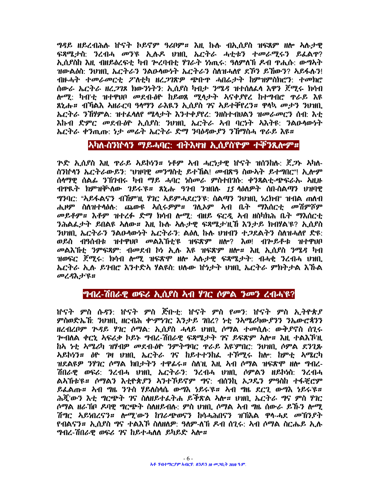ግዳይ ዘይረብሕሉ ኵናት ኮይኖም ዓሪቦም። እዚ ኩሉ ብኢሲያስ ዝፍጸም ዘሎ አሉታዊ ፍጻሜታስ: ንረብሓ መን'ዩ ኢሉዶ ሀዝቢ ኤርትራ ሓቲቱን ተመራሚሩን ይፌልዋ? ኢሲያስከ እዚ ብዘይዕረፍቲ ካብ ጕረባብቲ ሃገራት ነነጢሩ: ዓለምለኽ ዶብ ዋሒሱ: ውግኣት ዝውልዕስ: ንህዝቢ ኤርትራን ንልዑሳውነት ኤርትራን ስለዝሓለየ ደኾን ይኸውን? አይፋሉን! ብዙሓት ተመራመርቲ ፖለቲካ ዘረ*ጋገ*ጽዎ ጭቡዋ ሓበሬታት ከምዝምስክሮን: ተመክሮ ሰውራ ኤርትራ ዘረ*ጋገ*ጾ ክውንነትን: ኢሲያስ ካብታ *ንሜዳ* ዝተሰለፊላ እዋን ጀሚሩ ክሳብ ሎሚ: ካብ'ቲ ዝተዋህቦ መደብ-ዕዮ ከይወጸ ሚላታት አናቀያየረ ከተግብሮ ዋራይ እዩ ጸኒሑ። ብኻልእ አዘራርባ ዓላማን ራእዪን ኢሰያስ ገና አይተቐየረን። ዋላኳ መታን ንህዝቢ ኤርትራ ንኸሃምል: ዝተፌሳለየ ሜሳታት እንተቀያየረ: ንዘስተብህልን ዝመራመርን ሰብ: እቲ እኩብ ድምር መደብ-ዕዮ ኢሲያስ: ንህዝቢ ኤርትራ ኣብ ባርነት ኣእትዩ: ንልዑሳውነት ኤርትራ ቀንጢጡ: ነታ መሬት ኤርትራ ድማ ንባዕዳውያን ንኸማስሓ ዋራይ እዩ።

#### <u>አካለ-ስንኵላን ማይሓባር: ብትእዛዝ ኢሲያስዮም ተኞንጺሎም።</u>

<u>ዮድ ኢሲያስ እዚ ዋራይ አይኮሃን። ነቶም አብ ሓርነታዊ ከናት ዝሰንከሉ: ጀ*ጋ*ኑ አካለ-</u> ስንነተላን ኤርትራውይን: "ሀዝባዊ መንግስቲ ይተኸል! መብጽዓ ስውአት ይተግበር"! ኢሎም ሰላማዊ ሰልፊ ንኽንብሩ ካብ ማይ ሓባር ነስመራ ምስተበገሱ: ቀንጸልቲ-ጭፍራኡ አዚዙ ብዋዪት ክምዝኞላው ገይሩ'ዩ። ጸኒሑ ዓገብ ንዝበሉ 15 ላዕለዎት ሰበ-ስልጣን ህዝባዊ ግንባር: "አይፋልናን ብሽምነዚ ሃገር አይምሓደርን'ዩ: ስልጣን ንህዝቢ ነረክብ" ዝብል ጠለብ ሐዞም ስለዝተሳዕሉ: ጨውዩ አሲሩዎም*፡፡ ገ*ሊኦም አብ ቤት ማእሰር*ቲ መ*ሽምሾም መይቶም። እቶም ዝተረፉ ድማ ክሳብ ሎሚ: ብዘይ ፍርዲ አብ ዘስካክሕ ቤት ማእሰርቲ ንሕልፌታት ይበልዩ አለው። እዚ ኩሉ አሉታዊ ፍጻሜታዝሽ እንታይ ክብሃል'ዩ? ኢሲያስ ንሀዝቢ ኤርትራን ንልዑሳውነት ኤርትራን: ልዕሊ ኩሉ ሀዝብን ተ*ጋ*ደልትን ስለዝሓለየ ድዩ: ወይስ ብዓሰብቱ ዝተዋህቦ መልእኸቲ'ዩ ዝፍጽም ዘሎ? እወ! ብጕይቶቱ ዝተዋህቦ መልእኸቲ ንምፍጻም: ብመደብ ኮነ ኢሉ እዩ ዝፍጽም ዘሎ። እዚ ኢሲያስ ንሜዳ ካብ ዝወፍር ጀሚሩ. ክሳብ ሎሚ ዝፍጽሞ ዘሎ አሉታዊ ፍጻሜታት. ብሓቂ ንረብሓ ሀዝቢ ኤርትራ ኢሉ ይገብሮ እንተድኣ ሃልዩስ ሀሉው ከነታት ሀዝቢ ኤርትራ ምክትታል እኹል መረዳእታዩ።

#### *ግብረ-ሽበራዊ ወፍሪ ኢሲያስ ኣብ ሃገር ሶምል ንመን ረብሓ*'ዩ?

ምስወድኤሽ: ንህዝቢ ዘርብሕ ቍምነገር እንታይ ገበረ? ነቲ ንኣሜሪካውያንን ንኤውሮጳንን ዘረብረቦም ጕዳይ ሃገር ሶማል: ኢሲያስ ሓላይ ህዝቢ ሶማል ተመሲሉ: ውቅደኖስ ሰጊሩ *ጕብ*ለል *ቀርኒ ኣፍሪቃ ኮይኑ ግብረ-ሽበራዊ ፍጻሜታት ገና ይፍጽም ኣ*ሎ*፡፡ እዚ ተ*ልእ*ኾነ*L ከኣ ነቲ አሜሪካ ዝሃብዎ መደብ-ዕዮ ንምተግባር ዋራይ እዩ'ምበር: ንህዝቢ ሶምል ደንጊጽ ዝደልዩዎ *ን*ሃገር ሶማል ክበታትን ተዋፊሩ። ስለነዚ እዚ ትብ ሶማል ዝፍጽሞ ዘሎ ግብረ-ሽበራዊ ወፍሪ: ንረብሓ ህዝቢ ኤርትራን: ንረብሓ ህዝቢ ሶምልን ዘይኮነስ: ንረብሓ ልአኸቱ'ዩ። ሶማልን እቲዮጵያን አንተኾይኖም ግና: ብሰንኪ አጋዴን ምዓስከ ተፋቒሮም ይፌልጡ። አብ ግዜ ንጉስ ሃይለስላሴ ውግእ ነይሩ'ዩ። አብ ግዜ ደርጊ ውግእ ነይሩ'ዩ። ሕጀ'ውን እቲ ግርጭት ገና ስለዘይተፌትሐ ይቅጽል አሎ። ህዝቢ ኤርትራ ግና ምስ ሃገር ሶማል ዘራኸቦ ዶባዊ ግርጭት ስለዘይብሉ: ምስ ሀዝቢ ሶማል አብ ግዜ ሰውራ ይኸን ሎሚ ሽግር አይነበረናን**። ለ¤ሚ'ውን ከገራ**ጭወናን ከሳሓሕበናን ዝኽእል ዋላ-ሓደ *መ*'ክን*ያት* የብልናን። ኢሲያስ ግና ተልእኾ ስለዘለዎ: ዓለም-ለኸ ዶብ ሰጊሩ: አብ ሶማል ስርሔይ ኢሉ *ግብረ-ሽበራዊ ወፍሪ ገ*ና ከይተሓለለ ይካይድ *ኣ*ሎ*፡*፡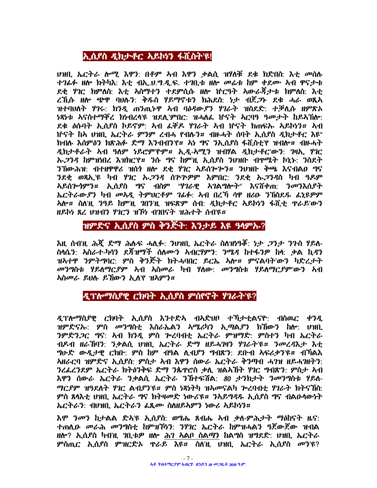# ኢሲያስ ዲክታቶር አይኮሃን ፋሺስት'ዩ!

ህዝቢ, ኤርትራ ሎሚ እዋን: በቶም ኣብ እዋን ቃልሲ ዝሃለቹ ደቁ ክድበስ: እቲ መሰሉ ተገፊፉ ዘሎ ክትካእ: እቲ ብኢ.ህ.ግ.ዲ.ፍ. ተገቢቱ ዘሎ መሬቱ ከም ቀደሙ አብ ዋናታቱ ደቂ ሃገር ክምለስ: እቲ አስማተን ተደምሲሱ ዘሎ ኵርዓት አውራጃታቱ ክምለስ: እቲ ረኺሱ ዘሎ ጭዋ ባህሉን: ቅዱስ ሃይማኖቱን ክሕደስ: ነታ ብጀ*ጋ*ኑ ደቁ ሓራ ወጺአ ዝተባህለት ሃገሩ: ክንዲ ጠንጢኑዋ አብ ባዕዳውያን ሃገራት ዝስደድ: ተቓሲሱ ዘምጽኦ ነጻነቱ አናስተማቐረ ክነብረላዩ ዝደሊ'ምበር: ዝሓለፌ ከናት አርባዓ ዓመታት ከይአኽሎ: ደቁ ዕሱባት ኢሲያስ ኮይኖም: ኣብ ፌቐዶ ሃገራት ኣብ ኵናት ክጠፍኡ ኣይኮሃን። ኣብ <u> ከናት ከአ ህዝቢ ኤርትራ ምንም ረብሓ የብሉን። ብዙሓት ሰባት ኢስደስ ዲክታቶር እዩ"</u> ክብሉ እሰምዕን ክጽሕፉ ድማ እንብብን'የ። ኣነ ግና ንኢሲያስ ፋሺስቲ'የ ዝብሎ። ብዙሓት ዲክታቶራት አብ ዓለም ነይሮምየም። ኢዲ-አሚን ዝብሃል ዲክታቶር'ውን: ገዛኢ ሃገር ኡ,23ዳ ከምዝነበረ እዝክር'የ። 3ሱ ግና ከምነዚ ኢሲያስ ንህዝቡ ብሞሜት ኮኒኑ: ንስደት ንኸውሕዝ: ብተዘዋዋሪ ዝሰጎ ዘሎ ደቂ ሃገር አይሰጕጕን። ንህዝቡ ቅጫ እናብልዐ ግና ንደቂ ወጻኢ'ዩ ካብ ሃገር ኡ*ጋንዳ* ሰጕጕዎም እምበር: ንደቂ ኡ*ጋንዳ*ስ ካብ ዓዶም አይሰጕነምን። ኢሲያስ ግና ብስም "ሃገራዊ አገልግሎት" እናሸቀጠ: ንመንእሲያት ኤርትራውያን ካብ መአዲ ትምህርቶም ገፊፉ: አብ በረኻ ሳዋ ዘሪዑ ንኽስደዱ ፌኒዩዎም **አሎ። ስለነዚ ንዓይ ከምነዚ ገበንነዚ ዝፍጽም ሰብ: ዲክታቶር አይኮነን ፋሺቲ ዋራይ'ውን** ዘይኮነ ጸረ ህዝብን ሃገርን ዝኾነ ብገበናት ዝሕተት ሰብ'ዩ።

# ዝምድና ኢሲያስ ምስ ቅንጅት: እንታይ እዩ ዓላምኡ?

እዚ ሰብ'ዚ ሕጇ ድማ ሕሉፍ ሓሊፉ: ንህዝቢ ኤርትራ ስለዝነዓኞ: ነታ *ጋ*ንታ ንጉስ ሃይለ-ስላሴን: አስራተ-ካሳን ደጃዝማች ሰለሙን አብርሃምን: ንሜዳ ከተፋንዎ ከሳ: ቃል ኪዳን ዝአተዋ ንምትግባር: ምስ ቅንጅት ክትሓባበር ይርኤ አሎ። ምናልባት'ውን ካድረታት *መንግ*ስቱ ሃይለማር*ያም* አብ አስመራ ካብ ሃለው: መንግስቱ ሃይለማርያም'ውን አብ **አስመራ ይህሉ ይኸውን ኢለ'የ ዝአምን።** 

# ዲፕሎማሲያዊ ርክባት ኢሲያስ ምሰየኖት ሃገራት'ዩ?

ዲፕሎማሲያዊ ርክባት ኢሲያስ እንተድኣ ብኣድህቦ ተኻታቲልናዮ: ብስዉር ቀንዲ ዝምድናኡ: ምስ መንግስቲ እስራኤልን አሜሪካን ኢጣልደን ክኸውን ከሎ: ሀዝቢ ንምድንጋር ግና: አብ ክንዲ ምስ ጕረባብቲ ኤርትራ ምዝማድ: ምስተን ካብ ኤርትራ ብዶብ ዘራኸባን: ንቃልሲ ህዝቢ ኤርትራ ድማ ዘይሓገዛን ሃገራት'ዩ። ንመረዳእታ እቲ *ግ*ሁድ ውዲታዊ ርክቡ: ምስ ከም ብዓል ሲብያን ግብጽን: ደቡብ አፍሪቃን'ዩ። ብኻልእ አዘራርባ ዝምድና ኢሲያስ: ምስታ ኣብ እዋን ሰውራ ኤርትራ ቅንጣብ ሓንዝ ዘይሓንዘትን: ንረፌረንደም ኤርትራ ክትዕንቅፍ ድማ ንጴዋሮስ ቃሊ ዝልአኸት ሃገር ግብጽን: ምስታ አብ እዋን ሰውራ ኤርትራ ንቃልሲ ኤርትራ ንኸተፍሽል: 80 ታንከታት ንመንግስቱ ሃይለ-ማርደም ዝዓደለት ሃገር ልብደን'ዩ። ምስ ነጻነትካ ዝአመናልካ ጕረባብቲ ሃገራት ክትናኽስ: ምስ ጸሳእቲ ህዝቢ ኤርትራ ግና ክትዛመድ ነውሪኙ። ንአይግዳዱ ኢሲያስ ግና ብልዑሳውነት ኤርትራን: ብህዝቢ ኤርትራን ፌጺሙ ስለዘይኣምን ነውሪ አይኮነን።

<u>እሞ *ን*መን ከታልል ድአ'ዩ ኢሰ</u>ደስ: ወግሔ ጸብሔ አብ ቃለ-ምሕታት ማዕከናት ዜና: ተጠሲው መራሕ መንግስቲ ከምዝኾነን: ንሃገር ኤርትራ ከምዝሓልን ዓጀውጀው ዝብል ዘሎ? ኢሲያስ ካብዢ ገቢቱዎ ዘሎ ሕገ አልቦ ስልማን ከልግስ ዝግደድ: ሀዝቢ ኤርትራ ምስጢር ኢሲያስ ምዝርድኦ ዋራይ እዩ። ስለነዚ ህዝቢ ኤርትራ ኢሲያስ መን'ዩ?